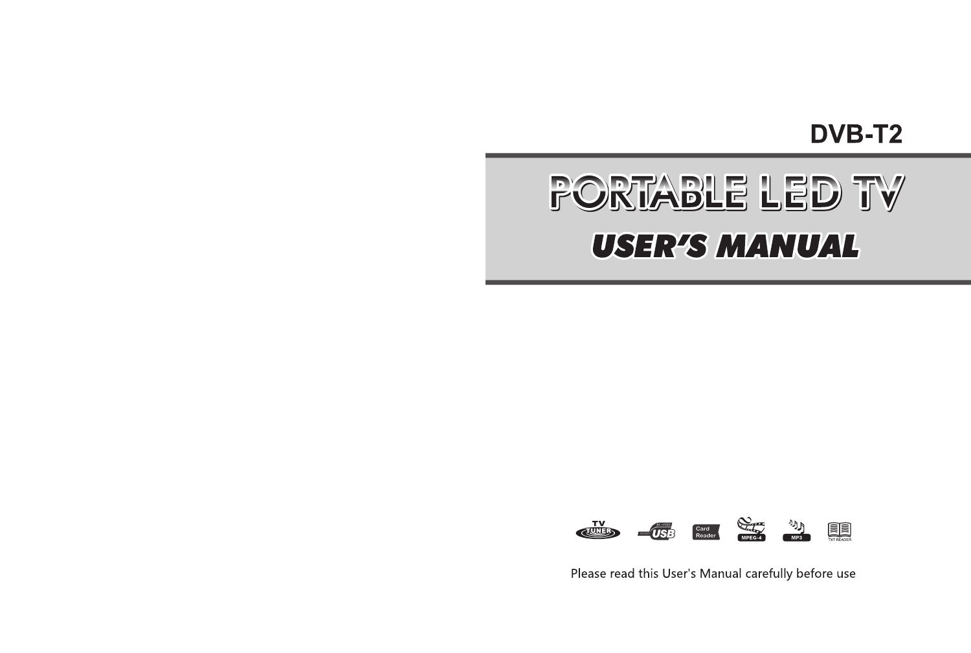**DVB-T2** 

# PORTABLE LED TV **USER'S MANUAL**



Please read this User's Manual carefully before use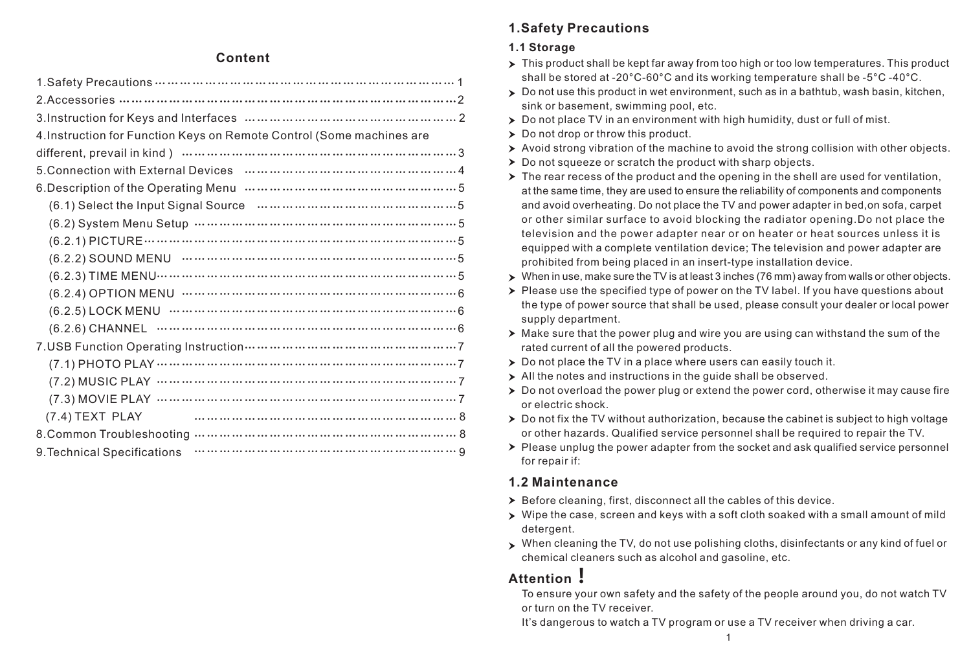#### **Content**

| 4. Instruction for Function Keys on Remote Control (Some machines are                                                                                                 |
|-----------------------------------------------------------------------------------------------------------------------------------------------------------------------|
|                                                                                                                                                                       |
|                                                                                                                                                                       |
|                                                                                                                                                                       |
| (6.1) Select the Input Signal Source manuscription of the US 3                                                                                                        |
|                                                                                                                                                                       |
|                                                                                                                                                                       |
|                                                                                                                                                                       |
|                                                                                                                                                                       |
| $(6.2.4)$ OPTION MENU $\cdots$ $\cdots$ $\cdots$ $\cdots$ $\cdots$ $\cdots$ $\cdots$ $\cdots$ $\cdots$ $\cdots$ $\cdots$ $\cdots$ $\cdots$ $\cdots$ $\cdots$ $\cdots$ |
|                                                                                                                                                                       |
|                                                                                                                                                                       |
|                                                                                                                                                                       |
|                                                                                                                                                                       |
|                                                                                                                                                                       |
|                                                                                                                                                                       |
|                                                                                                                                                                       |
|                                                                                                                                                                       |
|                                                                                                                                                                       |
|                                                                                                                                                                       |

# **1.Safety Precautions**

#### **1.1 Storage**

- $\triangleright$  This product shall be kept far away from too high or too low temperatures. This product shall be stored at -20°С-60°С and its working temperature shall be -5°С -40°С.
- $\triangleright$  Do not use this product in wet environment, such as in a bathtub, wash basin, kitchen, sink or basement, swimming pool, etc.
- $\triangleright$  Do not place TV in an environment with high humidity, dust or full of mist.
- $\triangleright$  Do not drop or throw this product.
- $\triangleright$  Avoid strong vibration of the machine to avoid the strong collision with other objects.
- ▶ Do not squeeze or scratch the product with sharp objects.
- $\triangleright$  The rear recess of the product and the opening in the shell are used for ventilation, at the same time, they are used to ensure the reliability of components and components and avoid overheating. Do not place the TV and power adapter in bed,on sofa, carpet or other similar surface to avoid blocking the radiator opening.Do not place the television and the power adapter near or on heater or heat sources unless it is equipped with a complete ventilation device; The television and power adapter are prohibited from being placed in an insert-type installation device.
- $\triangleright$  When in use, make sure the TV is at least 3 inches (76 mm) away from walls or other objects.
- $\triangleright$  Please use the specified type of power on the TV label. If you have questions about the type of power source that shall be used, please consult your dealer or local power supply department.
- $\triangleright$  Make sure that the power plug and wire you are using can withstand the sum of the rated current of all the powered products.
- Do not place the TV in a place where users can easily touch it.
- > All the notes and instructions in the guide shall be observed.
- $\triangleright$  Do not overload the power plug or extend the power cord, otherwise it may cause fire or electric shock.
- $\triangleright$  Do not fix the TV without authorization, because the cabinet is subject to high voltage or other hazards. Qualified service personnel shall be required to repair the TV.
- $\triangleright$  Please unplug the power adapter from the socket and ask qualified service personnel for repair if:

# **1.2 Maintenance**

- $\triangleright$  Before cleaning, first, disconnect all the cables of this device.
- Wipe the case, screen and keys with a soft cloth soaked with a small amount of mild detergent.
- When cleaning the TV, do not use polishing cloths, disinfectants or any kind of fuel or chemical cleaners such as alcohol and gasoline, etc.

# **Attention!**

To ensure your own safety and the safety of the people around you, do not watch TV or turn on the TV receiver.

It's dangerous to watch a TV program or use a TV receiver when driving a car.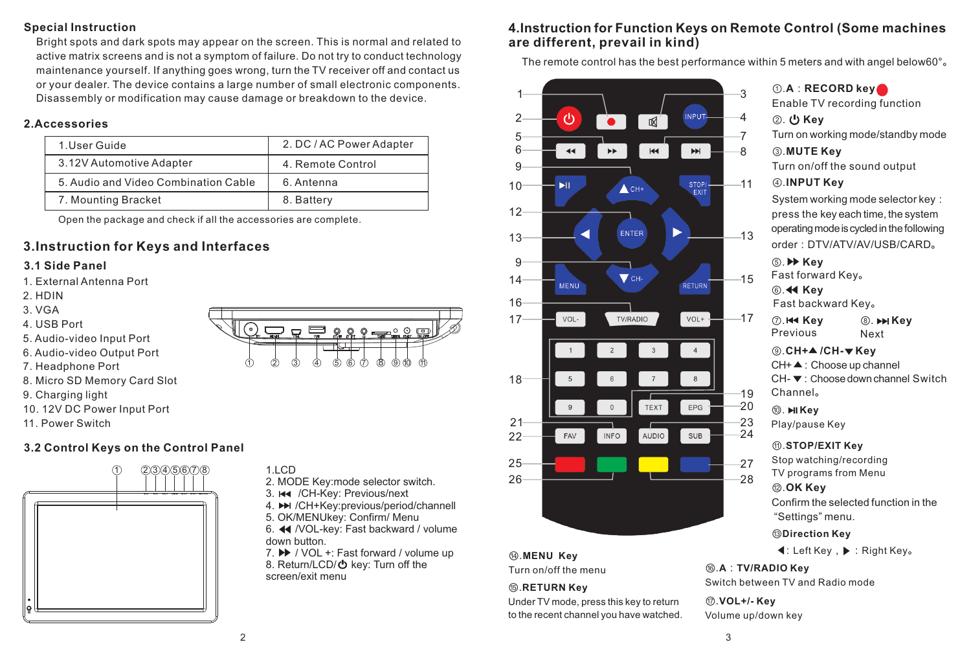#### **Special Instruction**

Bright spots and dark spots may appear on the screen. This is normal and related to active matrix screens and is not a symptom of failure. Do not try to conduct technology maintenance yourself. If anything goes wrong, turn the TV receiver off and contact us or your dealer. The device contains a large number of small electronic components. Disassembly or modification may cause damage or breakdown to the device.

#### **2.Accessories**

| 1. User Guide                        | 2. DC / AC Power Adapter |
|--------------------------------------|--------------------------|
| 3.12V Automotive Adapter             | 4. Remote Control        |
| 5. Audio and Video Combination Cable | 6. Antenna               |
| 7. Mounting Bracket                  | 8. Battery               |

Open the package and check if all the accessories are complete.

# **3.Instruction for Keys and Interfaces**

#### **3.1 Side Panel**

- 1. External Antenna Port
- 2. HDIN
- 3. VGA
- 4. USB Port
- 5. Audio-video Input Port
- 6. Audio-video Output Port
- 7. Headphone Port
- 8. Micro SD Memory Card Slot
- 9. Charging light
- 10. 12V DC Power Input Port
- 11. Power Switch

#### **3.2 Control Keys on the Control Panel**



# 0. \_ \_ \_ a \_ \_ \_ \_ \_ 1 2 3 4 5 6 7 8 9 10 11

- $11$  CD 2. MODE Key:mode selector switch.
- 3. He /CH-Key: Previous/next
- 4. H /CH+Key:previous/period/channell
- 5. OK/MENUkey: Confirm/ Menu 6. 44 /VOL-key: Fast backward / volume
- down button.
- 7. ▶ / VOL +: Fast forward / volume up 8. Return/LCD/ $\bullet$  key: Turn off the screen/exit menu

## **4.Instruction for Function Keys on Remote Control (Some machines are different, prevail in kind)**

The remote control has the best performance within 5 meters and with angel below60°。



Turn on/off the menu ⑮.**RETURN Key**

Under TV mode, press this key to return to the recent channel you have watched.

**4**: Left Key, ▶ : Right Key。

⑯.**A**:**TV/RADIO Key** Switch between TV and Radio mode

⑰.**VOL+/- Key** Volume up/down key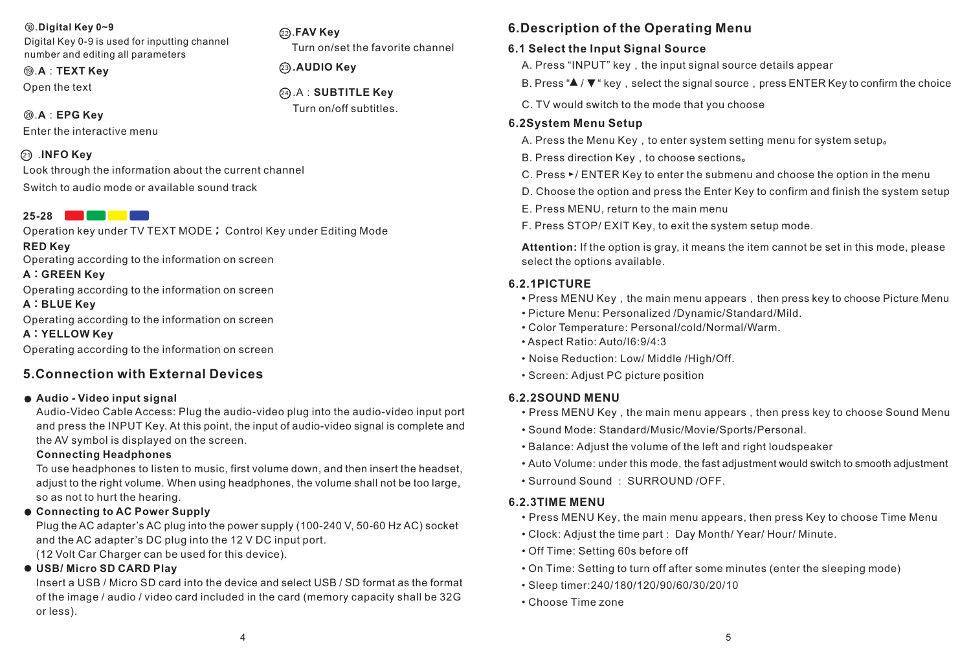#### ⑱.**Digital Key 0~9**

Digital Key 0-9 is used for inputting channel number and editing all parameters

⑲ **.AUDIO Key** .**A**:**TEXT Key** Open the text

#### ⑳.**A**:**EPG Key**

Enter the interactive menu

#### $\odot$  .INFO Key

Look through the information about the current channel Switch to audio mode or available sound track

# **25-28**

Operation key under TV TEXT MODE**;** Control Key under Editing Mode **RED Key** Operating according to the information on screen

#### **A:GREEN Key**

Operating according to the information on screen

#### **A:BLUE Key**

Operating according to the information on screen

**A:YELLOW Key**

Operating according to the information on screen

## **5.Connection with External Devices**

#### **Audio - Video input signal**

Audio-Video Cable Access: Plug the audio-video plug into the audio-video input port and press the INPUT Key. At this point, the input of audio-video signal is complete and the AV symbol is displayed on the screen.

#### **Connecting Headphones**

To use headphones to listen to music, first volume down, and then insert the headset, adjust to the right volume. When using headphones, the volume shall not be too large, so as not to hurt the hearing.

#### **Connecting to AC Power Supply**

Plug the AC adapter's AC plug into the power supply (100-240 V, 50-60 Hz AC) socket and the AC adapter's DC plug into the 12 V DC input port.

(12 Volt Car Charger can be used for this device).

#### **USB/ Micro SD CARD Play**

Insert a USB / Micro SD card into the device and select USB / SD format as the format of the image / audio / video card included in the card (memory capacity shall be 32G or less).

# **6.Description of the Operating Menu**

#### **6.1 Select the Input Signal Source**

A. Press "INPUT" key, the input signal source details appear

B. Press "▲ / ▼" key, select the signal source, press ENTER Key to confirm the choice

C. TV would switch to the mode that you choose

#### **6.2System Menu Setup**

- A. Press the Menu Key, to enter system setting menu for system setup。
- B. Press direction Key, to choose sections。
- C. Press ►/ ENTER Key to enter the submenu and choose the option in the menu
- D. Choose the option and press the Enter Key to confirm and finish the system setup
- E. Press MENU, return to the main menu
- F. Press STOP/ EXIT Key, to exit the system setup mode.

**Attention:** If the option is gray, it means the item cannot be set in this mode, please select the options available.

#### **6.2.1PICTURE**

- Press MENU Key, the main menu appears, then press key to choose Picture Menu
- Picture Menu: Personalized /Dynamic/Standard/Mild.
- Color Temperature: Personal/cold/Normal/Warm.
- Aspect Ratio: Auto/I6:9/4:3
- Noise Reduction: Low/ Middle /High/Off.
- Screen: Adjust PC picture position

#### **6.2.2SOUND MENU**

- Press MENU Key, the main menu appears, then press key to choose Sound Menu
- Sound Mode: Standard/Music/Movie/Sports/Personal.
- Balance: Adjust the volume of the left and right loudspeaker
- Auto Volume: under this mode, the fast adjustment would switch to smooth adjustment
- Surround Sound : SURROUND /OFF.

#### **6.2.3TIME MENU**

- Press MENU Key, the main menu appears, then press Key to choose Time Menu
- Clock: Adjust the time part: Day Month/ Year/ Hour/ Minute.
- Off Time: Setting 60s before off
- On Time: Setting to turn off after some minutes (enter the sleeping mode)
- Sleep timer:240/180/120/90/60/30/20/10
- Choose Time zone

# 24 .A:**SUBTITLE Key** 23. AUDIO Kev

Turn on/set the favorite channel

Turn on/off subtitles.

.**FAV Key** 22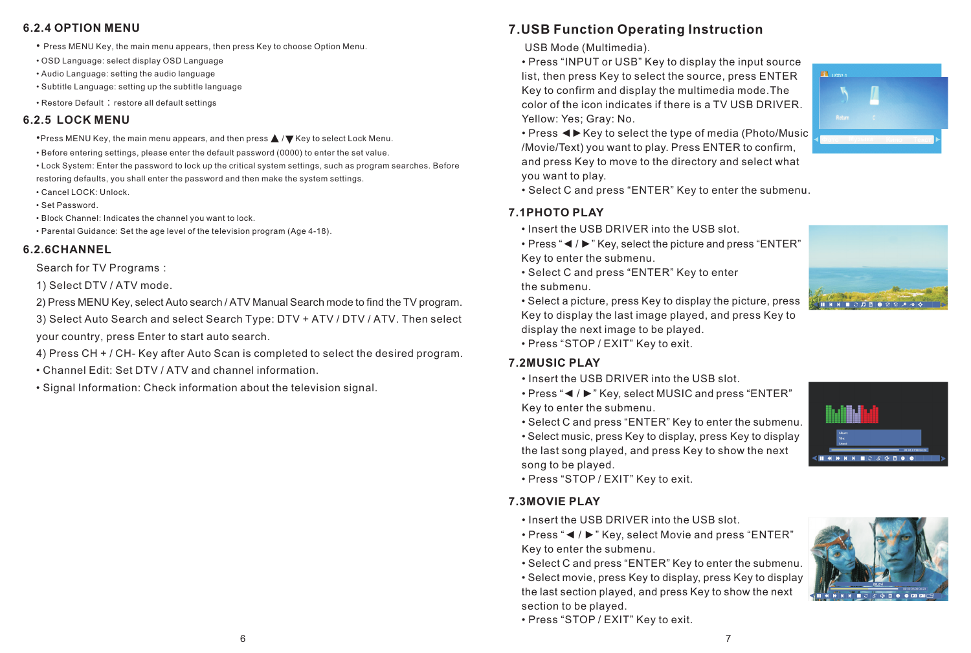#### **6.2.4 OPTION MENU**

- Press MENU Key, the main menu appears, then press Key to choose Option Menu.
- OSD Language: select display OSD Language
- Audio Language: setting the audio language
- Subtitle Language: setting up the subtitle language
- Restore Default: restore all default settings

#### **6.2.5 LOCK MENU**

- •Press MENU Key, the main menu appears, and then press ▲ / ▼ Key to select Lock Menu.
- Before entering settings, please enter the default password (0000) to enter the set value.
- Lock System: Enter the password to lock up the critical system settings, such as program searches. Before restoring defaults, you shall enter the password and then make the system settings.
- Cancel LOCK: Unlock.
- Set Password.
- Block Channel: Indicates the channel you want to lock.
- Parental Guidance: Set the age level of the television program (Age 4-18).

#### **6.2.6CHANNEL**

Search for TV Programs:

1) Select DTV / ATV mode.

2) Press MENU Key, select Auto search / ATV Manual Search mode to find the TV program.

3) Select Auto Search and select Search Type: DTV + ATV / DTV / ATV. Then select your country, press Enter to start auto search.

4) Press CH + / CH- Key after Auto Scan is completed to select the desired program.

- Channel Edit: Set DTV / ATV and channel information.
- Signal Information: Check information about the television signal.

# **7.USB Function Operating Instruction**

USB Mode (Multimedia).

• Press "INPUT or USB" Key to display the input source list, then press Key to select the source, press ENTER Key to confirm and display the multimedia mode.The color of the icon indicates if there is a TV USB DRIVER. Yellow: Yes; Gray: No.



• Press ◄►Key to select the type of media (Photo/Music /Movie/Text) you want to play. Press ENTER to confirm, and press Key to move to the directory and select what you want to play.

• Select C and press "ENTER" Key to enter the submenu.

#### **7.1PHOTO PLAY**

• Insert the USB DRIVER into the USB slot.

• Press "◄ / ►" Key, select the picture and press "ENTER" Key to enter the submenu.

• Select C and press "ENTER" Key to enter the submenu.

• Select a picture, press Key to display the picture, press Key to display the last image played, and press Key to display the next image to be played.



#### **7.2MUSIC PLAY**

• Insert the USB DRIVER into the USB slot.

• Press "◄ / ►" Key, select MUSIC and press "ENTER" Key to enter the submenu.

• Select C and press "ENTER" Key to enter the submenu.

• Select music, press Key to display, press Key to display the last song played, and press Key to show the next song to be played.

• Press "STOP / EXIT" Key to exit.

#### **7.3MOVIE PLAY**

• Insert the USB DRIVER into the USB slot.

• Press "◄ / ►" Key, select Movie and press "ENTER" Key to enter the submenu.

• Select C and press "ENTER" Key to enter the submenu.

• Select movie, press Key to display, press Key to display the last section played, and press Key to show the next section to be played.

• Press "STOP / EXIT" Key to exit.



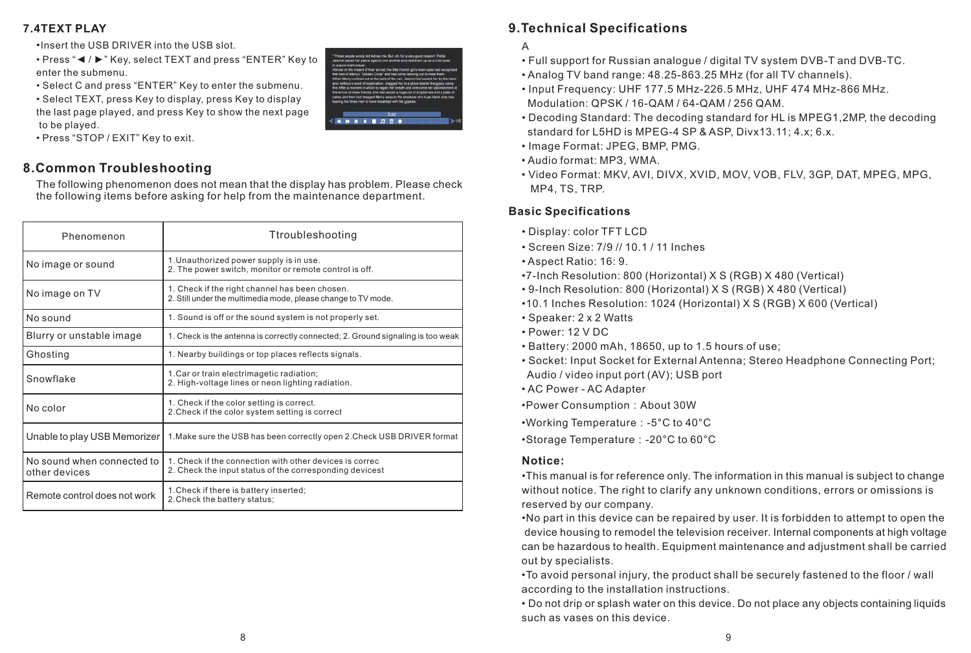#### **7.4TEXT PLAY**

- •Insert the USB DRIVER into the USB slot.
- Press "◄ / ►" Key, select TEXT and press "ENTER" Key to enter the submenu.
- Select C and press "ENTER" Key to enter the submenu.
- Select TEXT, press Key to display, press Key to display the last page played, and press Key to show the next page to be played.
- Press "STOP / EXIT" Key to exit.

# **8.Common Troubleshooting**

The following phenomenon does not mean that the display has problem. Please check the following items before asking for help from the maintenance department.

| Phenomenon                                  | Ttroubleshooting                                                                                                    |
|---------------------------------------------|---------------------------------------------------------------------------------------------------------------------|
| No image or sound                           | 1. Unauthorized power supply is in use.<br>2. The power switch, monitor or remote control is off.                   |
| No image on TV                              | 1. Check if the right channel has been chosen.<br>2. Still under the multimedia mode, please change to TV mode.     |
| No sound                                    | 1. Sound is off or the sound system is not properly set.                                                            |
| Blurry or unstable image                    | 1. Check is the antenna is correctly connected; 2. Ground signaling is too weak                                     |
| Ghosting                                    | 1. Nearby buildings or top places reflects signals.                                                                 |
| Snowflake                                   | 1. Car or train electrimagetic radiation;<br>2. High-voltage lines or neon lighting radiation.                      |
| No color                                    | 1. Check if the color setting is correct.<br>2. Check if the color system setting is correct                        |
| Unable to play USB Memorizer                | 1. Make sure the USB has been correctly open 2. Check USB DRIVER format                                             |
| No sound when connected to<br>other devices | 1. Check if the connection with other devices is correct<br>2. Check the input status of the corresponding devicest |
| Remote control does not work                | 1. Check if there is battery inserted;<br>2. Check the battery status;                                              |



# **9.Technical Specifications**

- A
- Full support for Russian analogue / digital TV system DVB-T and DVB-TC.
- Analog TV band range: 48.25-863.25 MHz (for all TV channels).
- Input Frequency: UHF 177.5 MHz-226.5 MHz, UHF 474 MHz-866 MHz. Modulation: QPSK / 16-QAM / 64-QAM / 256 QAM.
- Decoding Standard: The decoding standard for HL is МРЕG1,2МР, the decoding standard for L5HD is МРЕG-4 SP & ASP, Divx13.11; 4.х; 6.х.
- Image Format: JPEG, BMP, PMG.
- Audio format: МРЗ, WMA.
- Video Format: MKV, AVI, DIVX, XVID, MOV, VOB, FLV, 3GP, DAT, MPEG, MPG, MP4, TS, TRP.

#### **Basic Specifications**

- Display: color TFT LCD
- Screen Size: 7/9 // 10.1 / 11 Inches
- Aspect Ratio: 16: 9.
- •7-Inch Resolution: 800 (Horizontal) X S (RGB) X 480 (Vertical)
- 9-Inch Resolution: 800 (Horizontal) X S (RGB) X 480 (Vertical)
- •10.1 Inches Resolution: 1024 (Horizontal) X S (RGB) X 600 (Vertical)
- Speaker: 2 x 2 Watts
- Power: 12 V DC
- Battery: 2000 mAh, 18650, up to 1.5 hours of use;
- Socket: Input Socket for External Antenna; Stereo Headphone Connecting Port; Audio / video input port (AV); USB port
- AC Power AC Adapter
- •Power Consumption:About 30W
- •Working Temperature:-5°C to 40°C
- •Storage Temperature:-20°C to 60°C

#### **Notice:**

•This manual is for reference only. The information in this manual is subject to change without notice. The right to clarify any unknown conditions, errors or omissions is reserved by our company.

•No part in this device can be repaired by user. It is forbidden to attempt to open the device housing to remodel the television receiver. Internal components at high voltage can be hazardous to health. Equipment maintenance and adjustment shall be carried out by specialists.

•To avoid personal injury, the product shall be securely fastened to the floor / wall according to the installation instructions.

• Do not drip or splash water on this device. Do not place any objects containing liquids such as vases on this device.